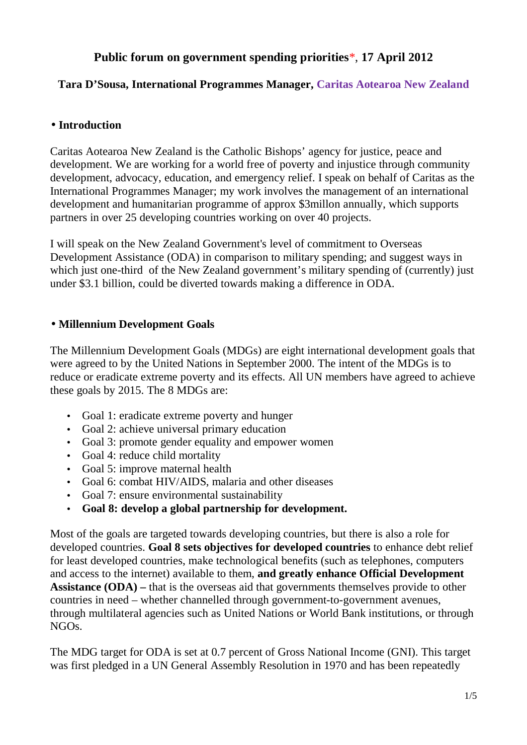# **Public forum on government spending priorities**\*, **17 April 2012**

### **Tara D'Sousa, International Programmes Manager, [Caritas Aotearoa New Zealand](http://www.caritas.org.nz/)**

## • **Introduction**

Caritas Aotearoa New Zealand is the Catholic Bishops' agency for justice, peace and development. We are working for a world free of poverty and injustice through community development, advocacy, education, and emergency relief. I speak on behalf of Caritas as the International Programmes Manager; my work involves the management of an international development and humanitarian programme of approx \$3millon annually, which supports partners in over 25 developing countries working on over 40 projects.

I will speak on the New Zealand Government's level of commitment to Overseas Development Assistance (ODA) in comparison to military spending; and suggest ways in which just one-third of the New Zealand government's military spending of (currently) just under \$3.1 billion, could be diverted towards making a difference in ODA.

## • **Millennium Development Goals**

The Millennium Development Goals (MDGs) are eight international development goals that were agreed to by the United Nations in September 2000. The intent of the MDGs is to reduce or eradicate extreme poverty and its effects. All UN members have agreed to achieve these goals by 2015. The 8 MDGs are:

- Goal 1: eradicate extreme poverty and hunger
- Goal 2: achieve universal primary education
- Goal 3: promote gender equality and empower women
- Goal 4: reduce child mortality
- Goal 5: improve maternal health
- Goal 6: combat HIV/AIDS, malaria and other diseases
- Goal 7: ensure environmental sustainability
- **Goal 8: develop a global partnership for development.**

Most of the goals are targeted towards developing countries, but there is also a role for developed countries. **Goal 8 sets objectives for developed countries** to enhance debt relief for least developed countries, make technological benefits (such as telephones, computers and access to the internet) available to them, **and greatly enhance Official Development Assistance (ODA) –** that is the overseas aid that governments themselves provide to other countries in need – whether channelled through government-to-government avenues, through multilateral agencies such as United Nations or World Bank institutions, or through NGOs.

The MDG target for ODA is set at 0.7 percent of Gross National Income (GNI). This target was first pledged in a UN General Assembly Resolution in 1970 and has been repeatedly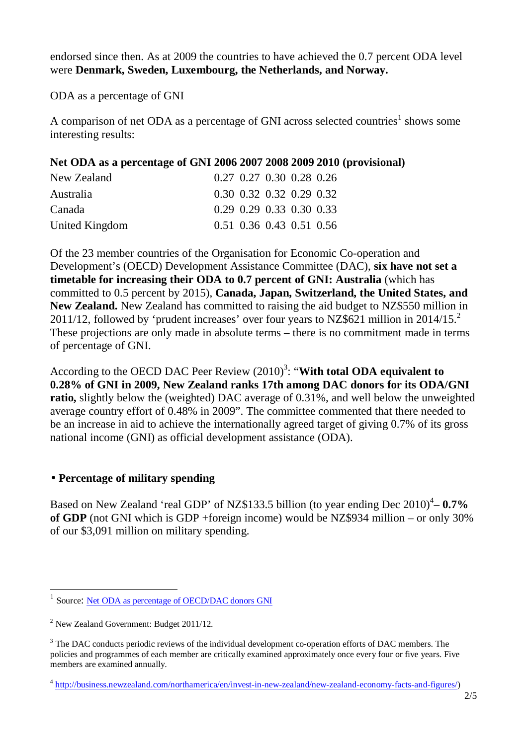endorsed since then. As at 2009 the countries to have achieved the 0.7 percent ODA level were **Denmark, Sweden, Luxembourg, the Netherlands, and Norway.**

ODA as a percentage of GNI

A comparison of net ODA as a percentage of GNI across selected countries<sup>1</sup> shows some interesting results:

#### **Net ODA as a percentage of GNI 2006 2007 2008 2009 2010 (provisional)**

| New Zealand      | $0.27$ $0.27$ $0.30$ $0.28$ $0.26$ |  |  |
|------------------|------------------------------------|--|--|
| <b>Australia</b> | 0.30 0.32 0.32 0.29 0.32           |  |  |
| Canada           | $0.29$ 0.29 0.33 0.30 0.33         |  |  |
| United Kingdom   | 0.51 0.36 0.43 0.51 0.56           |  |  |

Of the 23 member countries of the Organisation for Economic Co-operation and Development's (OECD) Development Assistance Committee (DAC), **six have not set a timetable for increasing their ODA to 0.7 percent of GNI: Australia** (which has committed to 0.5 percent by 2015), **Canada, Japan, Switzerland, the United States, and New Zealand.** New Zealand has committed to raising the aid budget to NZ\$550 million in 2011/12, followed by 'prudent increases' over four years to NZ\$621 million in 2014/15.<sup>2</sup> These projections are only made in absolute terms – there is no commitment made in terms of percentage of GNI.

According to the OECD DAC Peer Review (2010)<sup>3</sup>: "With total ODA equivalent to **0.28% of GNI in 2009, New Zealand ranks 17th among DAC donors for its ODA/GNI ratio,** slightly below the (weighted) DAC average of 0.31%, and well below the unweighted average country effort of 0.48% in 2009". The committee commented that there needed to be an increase in aid to achieve the internationally agreed target of giving 0.7% of its gross national income (GNI) as official development assistance (ODA).

#### • **Percentage of military spending**

Based on New Zealand 'real GDP' of NZ\$133.5 billion (to year ending Dec 2010)<sup>4</sup>-0.7% **of GDP** (not GNI which is GDP +foreign income) would be NZ\$934 million – or only 30% of our \$3,091 million on military spending.

<sup>&</sup>lt;sup>1</sup> Source: <u>Net ODA as percentage of OECD/DAC donors GNI</u>

 $2$  New Zealand Government: Budget 2011/12.

 $3$  The DAC conducts periodic reviews of the individual development co-operation efforts of DAC members. The policies and programmes of each member are critically examined approximately once every four or five years. Five members are examined annually.

<sup>&</sup>lt;sup>4</sup> http://business.newzealand.com/northamerica/en/invest-in-new-zealand/new-zealand-economy-facts-and-figures/)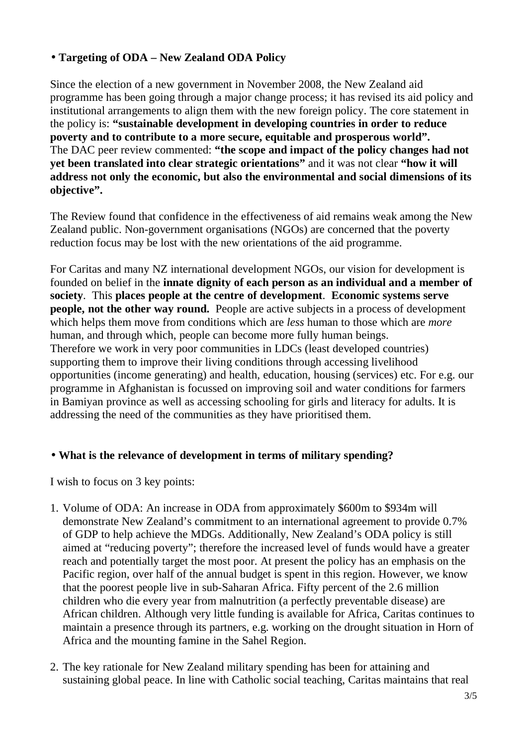## • **Targeting of ODA – New Zealand ODA Policy**

Since the election of a new government in November 2008, the New Zealand aid programme has been going through a major change process; it has revised its aid policy and institutional arrangements to align them with the new foreign policy. The core statement in the policy is: **"sustainable development in developing countries in order to reduce poverty and to contribute to a more secure, equitable and prosperous world".**  The DAC peer review commented: **"the scope and impact of the policy changes had not yet been translated into clear strategic orientations"** and it was not clear **"how it will address not only the economic, but also the environmental and social dimensions of its objective".**

The Review found that confidence in the effectiveness of aid remains weak among the New Zealand public. Non-government organisations (NGOs) are concerned that the poverty reduction focus may be lost with the new orientations of the aid programme.

For Caritas and many NZ international development NGOs, our vision for development is founded on belief in the **innate dignity of each person as an individual and a member of society**. This **places people at the centre of development**. **Economic systems serve people, not the other way round.** People are active subjects in a process of development which helps them move from conditions which are *less* human to those which are *more* human, and through which, people can become more fully human beings. Therefore we work in very poor communities in LDCs (least developed countries) supporting them to improve their living conditions through accessing livelihood opportunities (income generating) and health, education, housing (services) etc. For e.g. our programme in Afghanistan is focussed on improving soil and water conditions for farmers in Bamiyan province as well as accessing schooling for girls and literacy for adults. It is addressing the need of the communities as they have prioritised them.

#### • **What is the relevance of development in terms of military spending?**

I wish to focus on 3 key points:

- 1. Volume of ODA: An increase in ODA from approximately \$600m to \$934m will demonstrate New Zealand's commitment to an international agreement to provide 0.7% of GDP to help achieve the MDGs. Additionally, New Zealand's ODA policy is still aimed at "reducing poverty"; therefore the increased level of funds would have a greater reach and potentially target the most poor. At present the policy has an emphasis on the Pacific region, over half of the annual budget is spent in this region. However, we know that the poorest people live in sub-Saharan Africa. Fifty percent of the 2.6 million children who die every year from malnutrition (a perfectly preventable disease) are African children. Although very little funding is available for Africa, Caritas continues to maintain a presence through its partners, e.g. working on the drought situation in Horn of Africa and the mounting famine in the Sahel Region.
- 2. The key rationale for New Zealand military spending has been for attaining and sustaining global peace. In line with Catholic social teaching, Caritas maintains that real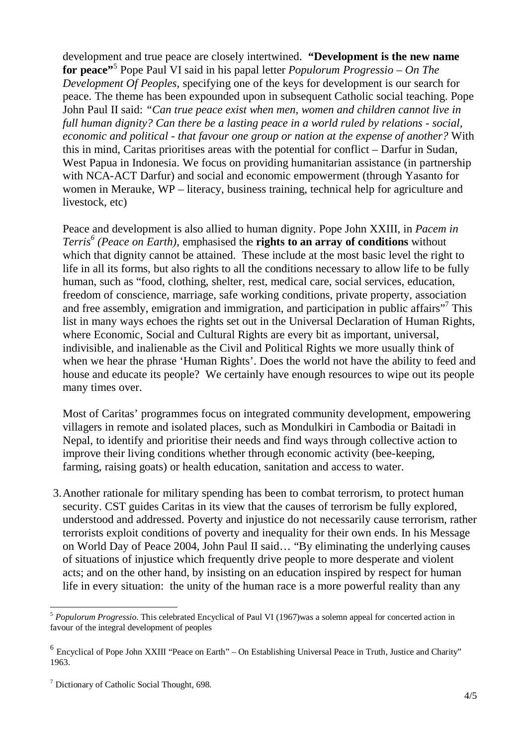development and true peace are closely intertwined. **"Development is the new name for peace"**<sup>5</sup> Pope Paul VI said in his papal letter *Populorum Progressio – On The Development Of Peoples*, specifying one of the keys for development is our search for peace. The theme has been expounded upon in subsequent Catholic social teaching. Pope John Paul II said: *"Can true peace exist when men, women and children cannot live in full human dignity? Can there be a lasting peace in a world ruled by relations - social, economic and political - that favour one group or nation at the expense of another?* With this in mind, Caritas prioritises areas with the potential for conflict – Darfur in Sudan, West Papua in Indonesia. We focus on providing humanitarian assistance (in partnership with NCA-ACT Darfur) and social and economic empowerment (through Yasanto for women in Merauke, WP – literacy, business training, technical help for agriculture and livestock, etc)

Peace and development is also allied to human dignity. Pope John XXIII, in *Pacem in Terris<sup>6</sup> (Peace on Earth)*, emphasised the **rights to an array of conditions** without which that dignity cannot be attained. These include at the most basic level the right to life in all its forms, but also rights to all the conditions necessary to allow life to be fully human, such as "food, clothing, shelter, rest, medical care, social services, education, freedom of conscience, marriage, safe working conditions, private property, association and free assembly, emigration and immigration, and participation in public affairs"<sup>7</sup> This list in many ways echoes the rights set out in the Universal Declaration of Human Rights, where Economic, Social and Cultural Rights are every bit as important, universal, indivisible, and inalienable as the Civil and Political Rights we more usually think of when we hear the phrase 'Human Rights'. Does the world not have the ability to feed and house and educate its people? We certainly have enough resources to wipe out its people many times over.

Most of Caritas' programmes focus on integrated community development, empowering villagers in remote and isolated places, such as Mondulkiri in Cambodia or Baitadi in Nepal, to identify and prioritise their needs and find ways through collective action to improve their living conditions whether through economic activity (bee-keeping, farming, raising goats) or health education, sanitation and access to water.

3.Another rationale for military spending has been to combat terrorism, to protect human security. CST guides Caritas in its view that the causes of terrorism be fully explored, understood and addressed. Poverty and injustice do not necessarily cause terrorism, rather terrorists exploit conditions of poverty and inequality for their own ends. In his Message on World Day of Peace 2004, John Paul II said… "By eliminating the underlying causes of situations of injustice which frequently drive people to more desperate and violent acts; and on the other hand, by insisting on an education inspired by respect for human life in every situation: the unity of the human race is a more powerful reality than any

 $\overline{a}$ <sup>5</sup> *Populorum Progressio*. This celebrated Encyclical of Paul VI (1967)was a solemn appeal for concerted action in favour of the integral development of peoples

<sup>&</sup>lt;sup>6</sup> Encyclical of Pope John XXIII "Peace on Earth" – On Establishing Universal Peace in Truth, Justice and Charity" 1963.

<sup>&</sup>lt;sup>7</sup> Dictionary of Catholic Social Thought, 698.